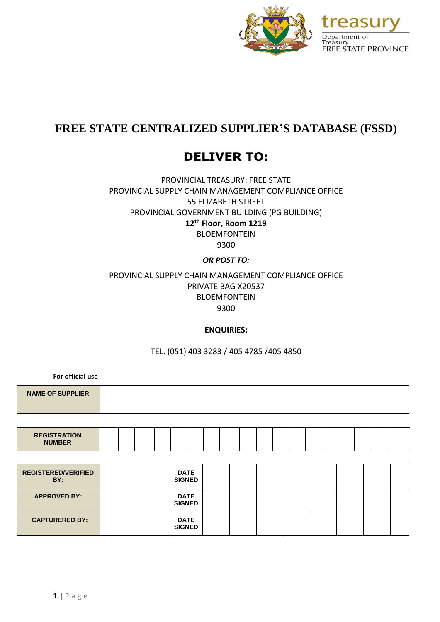

# **FREE STATE CENTRALIZED SUPPLIER'S DATABASE (FSSD)**

# **DELIVER TO:**

PROVINCIAL TREASURY: FREE STATE PROVINCIAL SUPPLY CHAIN MANAGEMENT COMPLIANCE OFFICE 55 ELIZABETH STREET PROVINCIAL GOVERNMENT BUILDING (PG BUILDING) **12th Floor, Room 1219** BLOEMFONTEIN

9300

# *OR POST TO:*

# PROVINCIAL SUPPLY CHAIN MANAGEMENT COMPLIANCE OFFICE PRIVATE BAG X20537 BLOEMFONTEIN 9300

# **ENQUIRIES:**

TEL. (051) 403 3283 / 405 4785 /405 4850

**For official use**

| <b>NAME OF SUPPLIER</b>              |  |  |                              |  |  |  |  |  |  |  |
|--------------------------------------|--|--|------------------------------|--|--|--|--|--|--|--|
|                                      |  |  |                              |  |  |  |  |  |  |  |
| <b>REGISTRATION</b><br><b>NUMBER</b> |  |  |                              |  |  |  |  |  |  |  |
|                                      |  |  |                              |  |  |  |  |  |  |  |
| <b>REGISTERED/VERIFIED</b><br>BY:    |  |  | <b>DATE</b><br><b>SIGNED</b> |  |  |  |  |  |  |  |
| <b>APPROVED BY:</b>                  |  |  | <b>DATE</b><br><b>SIGNED</b> |  |  |  |  |  |  |  |
| <b>CAPTURERED BY:</b>                |  |  | <b>DATE</b><br><b>SIGNED</b> |  |  |  |  |  |  |  |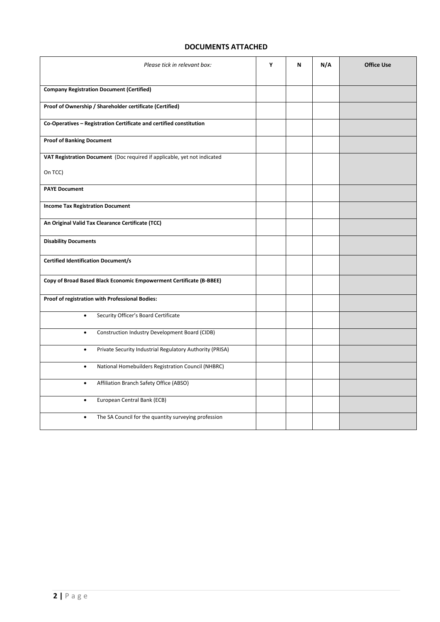# **DOCUMENTS ATTACHED**

| Please tick in relevant box:                                             | Υ | N | N/A | <b>Office Use</b> |
|--------------------------------------------------------------------------|---|---|-----|-------------------|
| <b>Company Registration Document (Certified)</b>                         |   |   |     |                   |
| Proof of Ownership / Shareholder certificate (Certified)                 |   |   |     |                   |
| Co-Operatives - Registration Certificate and certified constitution      |   |   |     |                   |
| <b>Proof of Banking Document</b>                                         |   |   |     |                   |
| VAT Registration Document (Doc required if applicable, yet not indicated |   |   |     |                   |
| On TCC)                                                                  |   |   |     |                   |
| <b>PAYE Document</b>                                                     |   |   |     |                   |
| <b>Income Tax Registration Document</b>                                  |   |   |     |                   |
| An Original Valid Tax Clearance Certificate (TCC)                        |   |   |     |                   |
| <b>Disability Documents</b>                                              |   |   |     |                   |
| <b>Certified Identification Document/s</b>                               |   |   |     |                   |
| Copy of Broad Based Black Economic Empowerment Certificate (B-BBEE)      |   |   |     |                   |
| Proof of registration with Professional Bodies:                          |   |   |     |                   |
| Security Officer's Board Certificate<br>$\bullet$                        |   |   |     |                   |
| Construction Industry Development Board (CIDB)<br>$\bullet$              |   |   |     |                   |
| Private Security Industrial Regulatory Authority (PRISA)<br>$\bullet$    |   |   |     |                   |
| National Homebuilders Registration Council (NHBRC)<br>$\bullet$          |   |   |     |                   |
| Affiliation Branch Safety Office (ABSO)<br>$\bullet$                     |   |   |     |                   |
| European Central Bank (ECB)<br>$\bullet$                                 |   |   |     |                   |
| The SA Council for the quantity surveying profession<br>$\bullet$        |   |   |     |                   |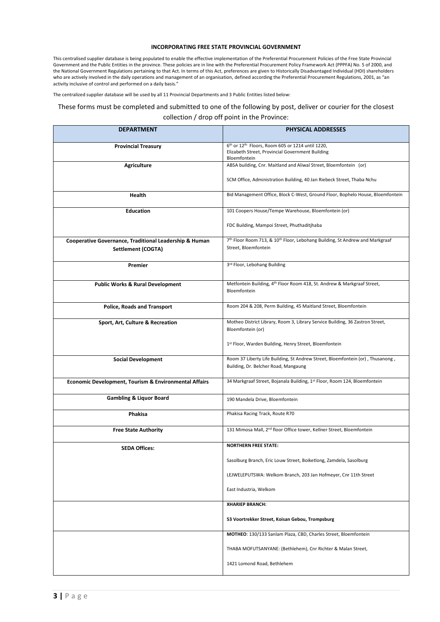### **INCORPORATING FREE STATE PROVINCIAL GOVERNMENT**

This centralised supplier database is being populated to enable the effective implementation of the Preferential Procurement Policies of the Free State Provincial Government and the Public Entities in the province. These policies are in line with the Preferential Procurement Policy Framework Act (PPPFA) No. 5 of 2000, and the National Government Regulations pertaining to that Act. In terms of this Act, preferences are given to Historically Disadvantaged Individual (HDI) shareholders who are actively involved in the daily operations and management of an organisation, defined according the Preferential Procurement Regulations, 2001, as "an activity inclusive of control and performed on a daily basis."

The centralized supplier database will be used by all 11 Provincial Departments and 3 Public Entities listed below:

# These forms must be completed and submitted to one of the following by post, deliver or courier for the closest collection / drop off point in the Province:

| <b>DEPARTMENT</b>                                      | <b>PHYSICAL ADDRESSES</b>                                                                                            |
|--------------------------------------------------------|----------------------------------------------------------------------------------------------------------------------|
| <b>Provincial Treasury</b>                             | 6th or 12th Floors, Room 605 or 1214 until 1220,<br>Elizabeth Street, Provincial Government Building<br>Bloemfontein |
| <b>Agriculture</b>                                     | ABSA building, Cnr. Maitland and Aliwal Street, Bloemfontein (or)                                                    |
|                                                        | SCM Office, Administration Building, 40 Jan Riebeck Street, Thaba Nchu                                               |
| Health                                                 | Bid Management Office, Block C-West, Ground Floor, Bophelo House, Bloemfontein                                       |
| <b>Education</b>                                       | 101 Coopers House/Tempe Warehouse, Bloemfontein (or)                                                                 |
|                                                        | FDC Building, Mampoi Street, Phuthaditjhaba                                                                          |
| Cooperative Governance, Traditional Leadership & Human | 7th Floor Room 713, & 10th Floor, Lebohang Building, St Andrew and Markgraaf                                         |
| Settlement (COGTA)                                     | Street, Bloemfontein                                                                                                 |
| Premier                                                | 3rd Floor, Lebohang Building                                                                                         |
| <b>Public Works &amp; Rural Development</b>            | Metfontein Building, 4th Floor Room 418, St. Andrew & Markgraaf Street,                                              |
|                                                        | Bloemfontein                                                                                                         |
| <b>Police, Roads and Transport</b>                     | Room 204 & 208, Perm Building, 45 Maitland Street, Bloemfontein                                                      |
|                                                        |                                                                                                                      |
| Sport, Art, Culture & Recreation                       | Motheo District Library, Room 3, Library Service Building, 36 Zastron Street,                                        |
|                                                        | Bloemfontein (or)                                                                                                    |
|                                                        | 1st Floor, Warden Building, Henry Street, Bloemfontein                                                               |
| <b>Social Development</b>                              | Room 37 Liberty Life Building, St Andrew Street, Bloemfontein (or), Thusanong,                                       |
|                                                        | Building, Dr. Belcher Road, Mangaung                                                                                 |
| Economic Development, Tourism & Environmental Affairs  | 34 Markgraaf Street, Bojanala Building, 1st Floor, Room 124, Bloemfontein                                            |
| <b>Gambling &amp; Liquor Board</b>                     | 190 Mandela Drive, Bloemfontein                                                                                      |
| Phakisa                                                | Phakisa Racing Track, Route R70                                                                                      |
| <b>Free State Authority</b>                            | 131 Mimosa Mall, 2 <sup>nd</sup> floor Office tower, Kellner Street, Bloemfontein                                    |
| <b>SEDA Offices:</b>                                   | <b>NORTHERN FREE STATE:</b>                                                                                          |
|                                                        | Sasolburg Branch, Eric Louw Street, Boiketlong, Zamdela, Sasolburg                                                   |
|                                                        | LEJWELEPUTSWA: Welkom Branch, 203 Jan Hofmeyer, Cnr 11th Street                                                      |
|                                                        | East Industria, Welkom                                                                                               |
|                                                        | <b>XHARIEP BRANCH:</b>                                                                                               |
|                                                        | 53 Voortrekker Street, Koisan Gebou, Trompsburg                                                                      |
|                                                        | MOTHEO: 130/133 Sanlam Plaza, CBD, Charles Street, Bloemfontein                                                      |
|                                                        | THABA MOFUTSANYANE: (Bethlehem), Cnr Richter & Malan Street,                                                         |
|                                                        | 1421 Lomond Road, Bethlehem                                                                                          |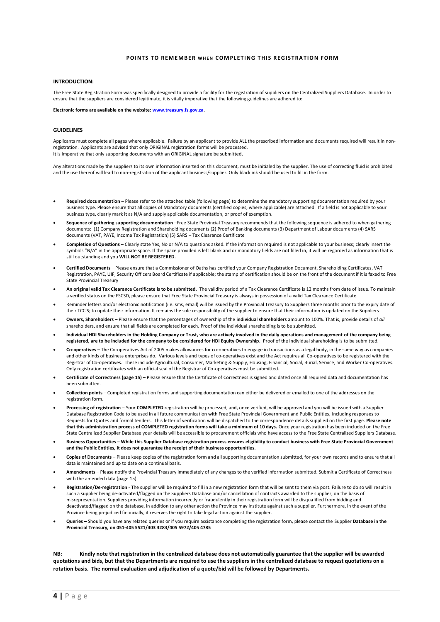### **POINTS TO REMEMBER WHEN COMPLETING THIS REGISTRATION FORM**

### **INTRODUCTION:**

The Free State Registration Form was specifically designed to provide a facility for the registration of suppliers on the Centralized Suppliers Database. In order to ensure that the suppliers are considered legitimate, it is vitally imperative that the following guidelines are adhered to:

**Electronic forms are available on the website: www.treasury.fs.gov.za.**

### **GUIDELINES**

Applicants must complete all pages where applicable. Failure by an applicant to provide ALL the prescribed information and documents required will result in nonregistration. Applicants are advised that only ORIGINAL registration forms will be processed. It is imperative that only supporting documents with an ORIGINAL signature be submitted.

Any alterations made by the suppliers to its own information inserted on this document, must be initialed by the supplier. The use of correcting fluid is prohibited and the use thereof will lead to non-registration of the applicant business/supplier. Only black ink should be used to fill in the form.

- **Required documentation –** Please refer to the attached table (following page) to determine the mandatory supporting documentation required by your business type. Please ensure that all copies of Mandatory documents (certified copies, where applicable) are attached. If a field is not applicable to your business type, clearly mark it as N/A and supply applicable documentation, or proof of exemption.
- **Sequence of gathering supporting documentation** –Free State Provincial Treasury recommends that the following sequence is adhered to when gathering documents: (1) Company Registration and Shareholding documents (2) Proof of Banking documents (3) Department of Labour documents (4) SARS documents (VAT, PAYE, Income Tax Registration) (5) SARS – Tax Clearance Certificate
- **Completion of Questions**  Clearly state Yes, No or N/A to questions asked. If the information required is not applicable to your business; clearly insert the symbols "N/A" in the appropriate space. If the space provided is left blank and or mandatory fields are not filled in, it will be regarded as information that is still outstanding and you **WILL NOT BE REGISTERED.**
- **Certified Documents** Please ensure that a Commissioner of Oaths has certified your Company Registration Document, Shareholding Certificates, VAT Registration, PAYE, UIF, Security Officers Board Certificate if applicable; the stamp of certification should be on the front of the document if it is faxed to Free State Provincial Treasury
- **An original valid Tax Clearance Certificate is to be submitted**. The validity period of a Tax Clearance Certificate is 12 months from date of issue. To maintain a verified status on the FSCSD, please ensure that Free State Provincial Treasury is always in possession of a valid Tax Clearance Certificate.
- Reminder letters and/or electronic notification (i.e. sms, email) will be issued by the Provincial Treasury to Suppliers three months prior to the expiry date of their TCC'S; to update their information. It remains the sole responsibility of the supplier to ensure that their information is updated on the Suppliers
- **Owners, Shareholders**  Please ensure that the percentages of ownership of the **individual shareholders** amount to 100%. That is, provide details of *all* shareholders, and ensure that all fields are completed for each. Proof of the individual shareholding is to be submitted.
- **Individual HDI Shareholders in the Holding Company or Trust, who are actively involved in the daily operations and management of the company being registered, are to be included for the company to be considered for HDI Equity Ownership.** Proof of the individual shareholding is to be submitted.
- **Co-operatives –** The Co-operatives Act of 2005 makes allowances for co-operatives to engage in transactions as a legal body, in the same way as companies and other kinds of business enterprises do. Various levels and types of co-operatives exist and the Act requires all Co-operatives to be registered with the Registrar of Co-operatives. These include Agricultural, Consumer, Marketing & Supply, Housing, Financial, Social, Burial, Service, and Worker Co-operatives. Only registration certificates with an official seal of the Registrar of Co-operatives must be submitted.
- **Certificate of Correctness (page 15)**  Please ensure that the Certificate of Correctness is signed and dated once all required data and documentation has been submitted.
- **Collection points**  Completed registration forms and supporting documentation can either be delivered or emailed to one of the addresses on the registration form.
- **Processing of registration** Your **COMPLETED** registration will be processed, and, once verified, will be approved and you will be issued with a Supplier Database Registration Code to be used in all future communication with Free State Provincial Government and Public Entities, including responses to Requests for Quotes and formal tenders. This letter of verification will be dispatched to the correspondence details supplied on the first page. **Please note that this administration process of COMPLETED registration forms will take a minimum of 10 days.** Once your registration has been included on the Free State Centralized Supplier Database your details will be accessible to procurement officials who have access to the Free State Centralized Suppliers Database.
- **Business Opportunities – While this Supplier Database registration process ensures eligibility to conduct business with Free State Provincial Government and the Public Entities, it does not guarantee the receipt of their business opportunities.**
- **Copies of Documents**  Please keep copies of the registration form and all supporting documentation submitted, for your own records and to ensure that all data is maintained and up to date on a continual basis.
- **Amendments** Please notify the Provincial Treasury immediately of any changes to the verified information submitted. Submit a Certificate of Correctness with the amended data (page 15).
- **Registration/De-registration** The supplier will be required to fill in a new registration form that will be sent to them via post. Failure to do so will result in such a supplier being de-activated/flagged on the Suppliers Database and/or cancellation of contracts awarded to the supplier, on the basis of misrepresentation. Suppliers providing information incorrectly or fraudulently in their registration form will be disqualified from bidding and deactivated/flagged on the database, in addition to any other action the Province may institute against such a supplier. Furthermore, in the event of the Province being prejudiced financially, it reserves the right to take legal action against the supplier.
- **Queries –** Should you have any related queries or if you require assistance completing the registration form, please contact the Supplier **Database in the Provincial Treasury, on 051-405 5521/403 3283/405 5972/405 4785**

**NB: Kindly note that registration in the centralized database does not automatically guarantee that the supplier will be awarded quotations and bids, but that the Departments are required to use the suppliers in the centralized database to request quotations on a rotation basis. The normal evaluation and adjudication of a quote/bid will be followed by Departments.**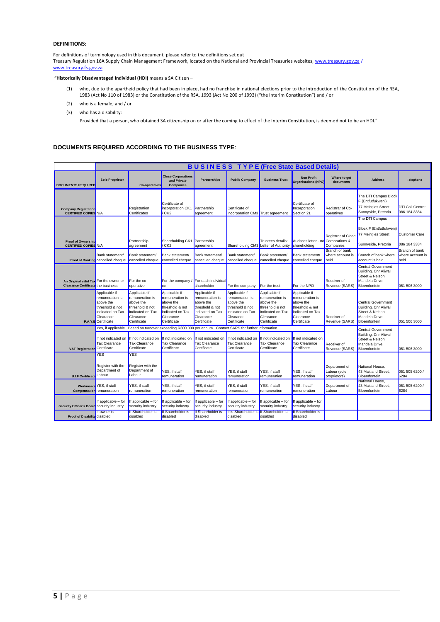### **DEFINITIONS:**

For definitions of terminology used in this document, please refer to the definitions set out Treasury Regulation 16A Supply Chain Management Framework, located on the National and Provincial Treasuries websites[, www.treasury.gov.za](http://www.treasury.gov.za/) / [www.treasury.fs.gov.za](http://www.treasury.fs.gov.za/)

### **"Historically Disadvantaged Individual (HDI)** means a SA Citizen –

- (1) who, due to the apartheid policy that had been in place, had no franchise in national elections prior to the introduction of the Constitution of the RSA, 1983 (Act No 110 of 1983) or the Constitution of the RSA, 1993 (Act No 200 of 1993) ("the Interim Constitution") and / or
- (2) who is a female; and / or
- (3) who has a disability:

Provided that a person, who obtained SA citizenship on or after the coming to effect of the Interim Constitution, is deemed not to be an HDI."

### **DOCUMENTS REQUIRED ACCORDING TO THE BUSINESS TYPE**:

|                                                                                     |                                                                                                                          |                                                                                                                  |                                                                                                                  |                                                                                                                  |                                                                                                                  |                                                                                                                  | <b>BUSINESS TYPE (Free State Based Details)</b>                                                                  |                                                          |                                                                                                        |                                                 |
|-------------------------------------------------------------------------------------|--------------------------------------------------------------------------------------------------------------------------|------------------------------------------------------------------------------------------------------------------|------------------------------------------------------------------------------------------------------------------|------------------------------------------------------------------------------------------------------------------|------------------------------------------------------------------------------------------------------------------|------------------------------------------------------------------------------------------------------------------|------------------------------------------------------------------------------------------------------------------|----------------------------------------------------------|--------------------------------------------------------------------------------------------------------|-------------------------------------------------|
| <b>DOCUMENTS REQUIRED</b>                                                           | <b>Sole Proprietor</b>                                                                                                   | <b>Co-operatives</b>                                                                                             | <b>Close Corporations</b><br>and Private<br><b>Companies</b>                                                     | Partnerships                                                                                                     | <b>Public Company</b>                                                                                            | <b>Business Trust</b>                                                                                            | <b>Non Profit</b><br>Organisations (NPO)                                                                         | Where to get<br>documents                                | <b>Address</b>                                                                                         | <b>Telephone</b>                                |
| <b>Company Registration</b><br><b>CERTIFIED COPIES N/A</b>                          |                                                                                                                          | Registration<br>Certificates                                                                                     | Certificate of<br>incorporation CK1 Partnership<br>/ CK2                                                         | agreement                                                                                                        | Certificate of<br>Incorporation CM3 Trust agreement                                                              |                                                                                                                  | Certificate of<br>Incorporation<br>Section 21                                                                    | Registrar of Co-<br>operatives                           | The DTI Campus Block<br>F (Entfutfukweni)<br><b>77 Meintiles Street</b><br>Sunnyside, Pretoria         | DTI Call Centre:<br>086 184 3384                |
| <b>Proof of Ownership</b><br><b>CERTIFIED COPIES N/A</b>                            |                                                                                                                          | Partnership<br>agreement                                                                                         | Shareholding CK1 Partnership<br>CK <sub>2</sub>                                                                  | agreement                                                                                                        |                                                                                                                  | Trustees details:<br>Shareholding CM3 Letter of Authority shareholding                                           | Auditor's letter - no Corporations &                                                                             | <b>Registrar of Close</b><br>Companies<br>Branch of bank | The DTI Campus<br>Block F (Entfutfukweni)<br>77 Meintjies Street<br>Sunnyside, Pretoria                | Customer Care<br>086 184 3384<br>Branch of bank |
|                                                                                     | Bank statement/<br>Proof of Banking cancelled cheque                                                                     | Bank statement/<br>cancelled cheque                                                                              | Bank statement/<br>cancelled cheque                                                                              | Bank statement/<br>cancelled cheque                                                                              | Bank statement/<br>cancelled cheque                                                                              | Bank statement/<br>cancelled cheque                                                                              | Bank statement/<br>cancelled cheque held                                                                         | where account is                                         | Branch of bank where<br>account is held                                                                | where account is<br>held                        |
| An Original valid Tax For the owner or<br><b>Clearance Certificate</b> the business |                                                                                                                          | For the co-<br>operative                                                                                         | <b>CC</b>                                                                                                        | For the company / For each individual<br>shareholder                                                             | For the company                                                                                                  | For the trust                                                                                                    | For the NPO                                                                                                      | Receiver of<br>Revenue (SARS)                            | <b>Central Government</b><br>Building, Cnr Aliwal<br>Street & Nelson<br>Mandela Drive.<br>Bloemfontein | 051 506 3000                                    |
|                                                                                     | Applicable if<br>remuneration is<br>above the<br>threshold & not<br>indicated on Tax<br>Clearance<br>P.A.Y.E Certificate | Applicable if<br>remuneration is<br>above the<br>threshold & not<br>indicated on Tax<br>Clearance<br>Certificate | Applicable if<br>remuneration is<br>above the<br>threshold & not<br>indicated on Tax<br>Clearance<br>Certificate | Applicable if<br>remuneration is<br>above the<br>threshold & not<br>indicated on Tax<br>Clearance<br>Certificate | Applicable if<br>remuneration is<br>above the<br>threshold & not<br>indicated on Tax<br>Clearance<br>Certificate | Applicable if<br>remuneration is<br>above the<br>threshold & not<br>indicated on Tax<br>Clearance<br>Certificate | Applicable if<br>remuneration is<br>above the<br>threshold & not<br>indicated on Tax<br>Clearance<br>Certificate | Receiver of<br>Revenue (SARS)                            | <b>Central Government</b><br>Building, Cnr Aliwal<br>Street & Nelson<br>Mandela Drive,<br>Bloemfontein | 051 506 3000                                    |
|                                                                                     | Yes, if applicable.                                                                                                      |                                                                                                                  |                                                                                                                  |                                                                                                                  | Based on turnover exceeding R300 000 per annum. Contact SARS for further information.                            |                                                                                                                  |                                                                                                                  |                                                          | <b>Central Government</b>                                                                              |                                                 |
| VAT Registration Certificate                                                        | If not indicated on<br><b>Tax Clearance</b>                                                                              | If not indicated on<br>Tax Clearance<br>Certificate                                                              | If not indicated on<br><b>Tax Clearance</b><br>Certificate                                                       | If not indicated on<br>Tax Clearance<br>Certificate                                                              | If not indicated on II<br>Tax Clearance<br>Certificate                                                           | f not indicated on<br>Tax Clearance<br>Certificate                                                               | f not indicated on<br><b>Tax Clearance</b><br>Certificate                                                        | Receiver of<br>Revenue (SARS)                            | Building, Cnr Aliwal<br>Street & Nelson<br>Mandela Drive,<br>Bloemfontein                              | 051 506 3000                                    |
| U.I.F Certificate Labour                                                            | YES<br>Register with the<br>Department of                                                                                | <b>YES</b><br>Register with the<br>Department of<br>Labour                                                       | YES, if staff<br>remuneration                                                                                    | YES, if staff<br>remuneration                                                                                    | YES, if staff<br>remuneration                                                                                    | YES, if staff<br>remuneration                                                                                    | YES, if staff<br>remuneration                                                                                    | Department of<br>Labour (sole<br>proprietors)            | National House.<br>43 Maitland Street,<br>Bloemfontein                                                 | 051 505 6200 /<br>6284                          |
| Workman's<br>Compensation remuneration                                              | YES, if staff                                                                                                            | YES, if staff<br>remuneration                                                                                    | YES. if staff<br>remuneration                                                                                    | YES. if staff<br>remuneration                                                                                    | YES, if staff<br>remuneration                                                                                    | YES, if staff<br>remuneration                                                                                    | YES, if staff<br>remuneration                                                                                    | Department of<br>Labour                                  | National House,<br>43 Maitland Street.<br>Bloemfontein                                                 | 051 505 6200 /<br>6284                          |
| Security Officer's Board Security industry                                          | If applicable - for                                                                                                      | If applicable - for<br>security industry                                                                         | If applicable - for<br>security industry                                                                         | If applicable - for<br>security industry                                                                         | If applicable - for<br>security industry                                                                         | f applicable – for<br>security industry                                                                          | f applicable - for<br>security industry                                                                          |                                                          |                                                                                                        |                                                 |
| Proof of Disability disabled                                                        | If owner is                                                                                                              | If Shareholder is<br>disabled                                                                                    | If Shareholder is<br>disabled                                                                                    | <b>If Shareholder is</b><br>disabled                                                                             | If is Shareholder is If Shareholder is<br>disabled                                                               | disabled                                                                                                         | If Shareholder is<br>disabled                                                                                    |                                                          |                                                                                                        |                                                 |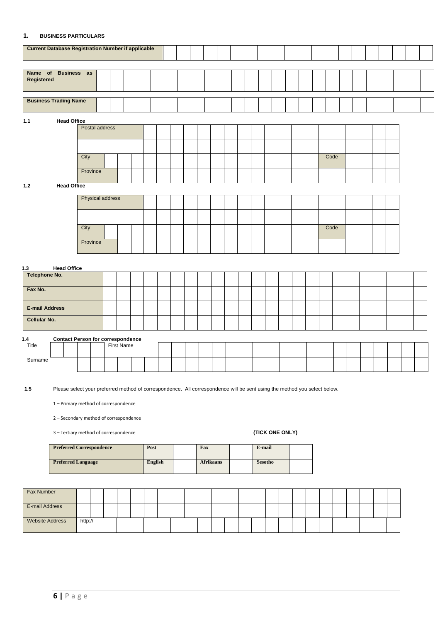### **1. BUSINESS PARTICULARS**

|                       | <b>Current Database Registration Number if applicable</b> |          |                         |                   |  |  |  |  |  |  |  |      |  |  |  |  |
|-----------------------|-----------------------------------------------------------|----------|-------------------------|-------------------|--|--|--|--|--|--|--|------|--|--|--|--|
| Registered            | Name of Business as                                       |          |                         |                   |  |  |  |  |  |  |  |      |  |  |  |  |
|                       | <b>Business Trading Name</b>                              |          |                         |                   |  |  |  |  |  |  |  |      |  |  |  |  |
| $1.1$                 | <b>Head Office</b>                                        |          |                         |                   |  |  |  |  |  |  |  |      |  |  |  |  |
|                       |                                                           |          | Postal address          |                   |  |  |  |  |  |  |  |      |  |  |  |  |
|                       |                                                           |          |                         |                   |  |  |  |  |  |  |  |      |  |  |  |  |
|                       |                                                           | City     |                         |                   |  |  |  |  |  |  |  | Code |  |  |  |  |
|                       |                                                           | Province |                         |                   |  |  |  |  |  |  |  |      |  |  |  |  |
| $1.2$                 | <b>Head Office</b>                                        |          |                         |                   |  |  |  |  |  |  |  |      |  |  |  |  |
|                       |                                                           |          | <b>Physical address</b> |                   |  |  |  |  |  |  |  |      |  |  |  |  |
|                       |                                                           |          |                         |                   |  |  |  |  |  |  |  |      |  |  |  |  |
|                       |                                                           |          |                         |                   |  |  |  |  |  |  |  |      |  |  |  |  |
|                       |                                                           | City     |                         |                   |  |  |  |  |  |  |  | Code |  |  |  |  |
|                       |                                                           | Province |                         |                   |  |  |  |  |  |  |  |      |  |  |  |  |
|                       |                                                           |          |                         |                   |  |  |  |  |  |  |  |      |  |  |  |  |
| 1.3                   | <b>Head Office</b>                                        |          |                         |                   |  |  |  |  |  |  |  |      |  |  |  |  |
| Telephone No.         |                                                           |          |                         |                   |  |  |  |  |  |  |  |      |  |  |  |  |
| Fax No.               |                                                           |          |                         |                   |  |  |  |  |  |  |  |      |  |  |  |  |
| <b>E-mail Address</b> |                                                           |          |                         |                   |  |  |  |  |  |  |  |      |  |  |  |  |
| Cellular No.          |                                                           |          |                         |                   |  |  |  |  |  |  |  |      |  |  |  |  |
|                       |                                                           |          |                         |                   |  |  |  |  |  |  |  |      |  |  |  |  |
| 1.4<br>Title          | <b>Contact Person for correspondence</b>                  |          |                         | <b>First Name</b> |  |  |  |  |  |  |  |      |  |  |  |  |
|                       |                                                           |          |                         |                   |  |  |  |  |  |  |  |      |  |  |  |  |
| Surname               |                                                           |          |                         |                   |  |  |  |  |  |  |  |      |  |  |  |  |

**1.5** Please select your preferred method of correspondence. All correspondence will be sent using the method you select below.

1 – Primary method of correspondence

2 – Secondary method of correspondence

3 – Tertiary method of correspondence **(TICK ONE ONLY)**

| <b>Preferred Correspondence</b> | Post           | Fax              | E-mail         |  |
|---------------------------------|----------------|------------------|----------------|--|
| <b>Preferred Language</b>       | <b>English</b> | <b>Afrikaans</b> | <b>Sesotho</b> |  |

| <b>Fax Number</b>      |         |  |  |  |  |  |  |  |  |  |  |  |  |
|------------------------|---------|--|--|--|--|--|--|--|--|--|--|--|--|
| E-mail Address         |         |  |  |  |  |  |  |  |  |  |  |  |  |
| <b>Website Address</b> | http:// |  |  |  |  |  |  |  |  |  |  |  |  |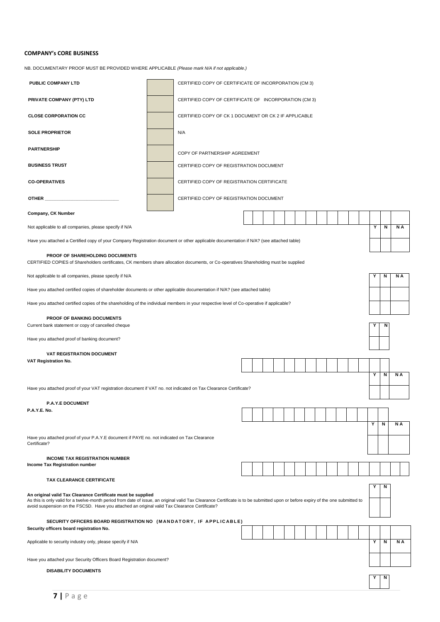# **COMPANY's CORE BUSINESS**

NB. DOCUMENTARY PROOF MUST BE PROVIDED WHERE APPLICABLE *(Please mark N/A if not applicable.)*

| PUBLIC COMPANY LTD                                                                                                                                                                                                                                                                                                                                |                                                                                                                                                                                                                                                                        | CERTIFIED COPY OF CERTIFICATE OF INCORPORATION (CM 3) |  |  |  |  |  |  |  |  |  |  |  |  |   |   |   |     |
|---------------------------------------------------------------------------------------------------------------------------------------------------------------------------------------------------------------------------------------------------------------------------------------------------------------------------------------------------|------------------------------------------------------------------------------------------------------------------------------------------------------------------------------------------------------------------------------------------------------------------------|-------------------------------------------------------|--|--|--|--|--|--|--|--|--|--|--|--|---|---|---|-----|
| PRIVATE COMPANY (PTY) LTD                                                                                                                                                                                                                                                                                                                         |                                                                                                                                                                                                                                                                        | CERTIFIED COPY OF CERTIFICATE OF INCORPORATION (CM 3) |  |  |  |  |  |  |  |  |  |  |  |  |   |   |   |     |
| <b>CLOSE CORPORATION CC</b>                                                                                                                                                                                                                                                                                                                       |                                                                                                                                                                                                                                                                        | CERTIFIED COPY OF CK 1 DOCUMENT OR CK 2 IF APPLICABLE |  |  |  |  |  |  |  |  |  |  |  |  |   |   |   |     |
| <b>SOLE PROPRIETOR</b>                                                                                                                                                                                                                                                                                                                            |                                                                                                                                                                                                                                                                        | N/A                                                   |  |  |  |  |  |  |  |  |  |  |  |  |   |   |   |     |
| <b>PARTNERSHIP</b>                                                                                                                                                                                                                                                                                                                                |                                                                                                                                                                                                                                                                        | COPY OF PARTNERSHIP AGREEMENT                         |  |  |  |  |  |  |  |  |  |  |  |  |   |   |   |     |
| <b>BUSINESS TRUST</b>                                                                                                                                                                                                                                                                                                                             |                                                                                                                                                                                                                                                                        | CERTIFIED COPY OF REGISTRATION DOCUMENT               |  |  |  |  |  |  |  |  |  |  |  |  |   |   |   |     |
| <b>CO-OPERATIVES</b>                                                                                                                                                                                                                                                                                                                              |                                                                                                                                                                                                                                                                        | CERTIFIED COPY OF REGISTRATION CERTIFICATE            |  |  |  |  |  |  |  |  |  |  |  |  |   |   |   |     |
| OTHER                                                                                                                                                                                                                                                                                                                                             |                                                                                                                                                                                                                                                                        | CERTIFIED COPY OF REGISTRATION DOCUMENT               |  |  |  |  |  |  |  |  |  |  |  |  |   |   |   |     |
| Company, CK Number                                                                                                                                                                                                                                                                                                                                |                                                                                                                                                                                                                                                                        |                                                       |  |  |  |  |  |  |  |  |  |  |  |  |   |   |   |     |
| Not applicable to all companies, please specify if N/A                                                                                                                                                                                                                                                                                            |                                                                                                                                                                                                                                                                        |                                                       |  |  |  |  |  |  |  |  |  |  |  |  |   | Y | N | N A |
| Have you attached a Certified copy of your Company Registration document or other applicable documentation if N/A? (see attached table)                                                                                                                                                                                                           |                                                                                                                                                                                                                                                                        |                                                       |  |  |  |  |  |  |  |  |  |  |  |  |   |   |   |     |
| PROOF OF SHAREHOLDING DOCUMENTS<br>CERTIFIED COPIES of Shareholders certificates, CK members share allocation documents, or Co-operatives Shareholding must be supplied                                                                                                                                                                           |                                                                                                                                                                                                                                                                        |                                                       |  |  |  |  |  |  |  |  |  |  |  |  |   |   |   |     |
| Not applicable to all companies, please specify if N/A                                                                                                                                                                                                                                                                                            |                                                                                                                                                                                                                                                                        |                                                       |  |  |  |  |  |  |  |  |  |  |  |  |   |   | N | N A |
|                                                                                                                                                                                                                                                                                                                                                   | Have you attached certified copies of shareholder documents or other applicable documentation if N/A? (see attached table)<br>Have you attached certified copies of the shareholding of the individual members in your respective level of Co-operative if applicable? |                                                       |  |  |  |  |  |  |  |  |  |  |  |  |   |   |   |     |
|                                                                                                                                                                                                                                                                                                                                                   | <b>PROOF OF BANKING DOCUMENTS</b>                                                                                                                                                                                                                                      |                                                       |  |  |  |  |  |  |  |  |  |  |  |  |   |   |   |     |
| Current bank statement or copy of cancelled cheque                                                                                                                                                                                                                                                                                                |                                                                                                                                                                                                                                                                        |                                                       |  |  |  |  |  |  |  |  |  |  |  |  | Y | N |   |     |
| Have you attached proof of banking document?                                                                                                                                                                                                                                                                                                      |                                                                                                                                                                                                                                                                        |                                                       |  |  |  |  |  |  |  |  |  |  |  |  |   |   |   |     |
| <b>VAT REGISTRATION DOCUMENT</b>                                                                                                                                                                                                                                                                                                                  |                                                                                                                                                                                                                                                                        |                                                       |  |  |  |  |  |  |  |  |  |  |  |  |   |   |   |     |
| VAT Registration No.                                                                                                                                                                                                                                                                                                                              |                                                                                                                                                                                                                                                                        |                                                       |  |  |  |  |  |  |  |  |  |  |  |  |   | Υ | N | N A |
| Have you attached proof of your VAT registration document if VAT no. not indicated on Tax Clearance Certificate?                                                                                                                                                                                                                                  |                                                                                                                                                                                                                                                                        |                                                       |  |  |  |  |  |  |  |  |  |  |  |  |   |   |   |     |
| <b>P.A.Y.E DOCUMENT</b>                                                                                                                                                                                                                                                                                                                           |                                                                                                                                                                                                                                                                        |                                                       |  |  |  |  |  |  |  |  |  |  |  |  |   |   |   |     |
| P.A.Y.E. No.                                                                                                                                                                                                                                                                                                                                      |                                                                                                                                                                                                                                                                        |                                                       |  |  |  |  |  |  |  |  |  |  |  |  |   |   |   |     |
|                                                                                                                                                                                                                                                                                                                                                   |                                                                                                                                                                                                                                                                        |                                                       |  |  |  |  |  |  |  |  |  |  |  |  |   | Y | N | N A |
| Have you attached proof of your P.A.Y.E document if PAYE no. not indicated on Tax Clearance<br>Certificate?                                                                                                                                                                                                                                       |                                                                                                                                                                                                                                                                        |                                                       |  |  |  |  |  |  |  |  |  |  |  |  |   |   |   |     |
| <b>INCOME TAX REGISTRATION NUMBER</b><br>Income Tax Registration number                                                                                                                                                                                                                                                                           |                                                                                                                                                                                                                                                                        |                                                       |  |  |  |  |  |  |  |  |  |  |  |  |   |   |   |     |
| TAX CLEARANCE CERTIFICATE                                                                                                                                                                                                                                                                                                                         |                                                                                                                                                                                                                                                                        |                                                       |  |  |  |  |  |  |  |  |  |  |  |  |   |   |   |     |
| An original valid Tax Clearance Certificate must be supplied<br>As this is only valid for a twelve-month period from date of issue, an original valid Tax Clearance Certificate is to be submitted upon or before expiry of the one submitted to<br>avoid suspension on the FSCSD. Have you attached an original valid Tax Clearance Certificate? |                                                                                                                                                                                                                                                                        |                                                       |  |  |  |  |  |  |  |  |  |  |  |  |   |   | N |     |
| SECURITY OFFICERS BOARD REGISTRATION NO (MANDATORY, IF APPLICABLE)<br>Security officers board registration No.                                                                                                                                                                                                                                    |                                                                                                                                                                                                                                                                        |                                                       |  |  |  |  |  |  |  |  |  |  |  |  |   |   |   |     |
| Applicable to security industry only, please specify if N/A                                                                                                                                                                                                                                                                                       |                                                                                                                                                                                                                                                                        |                                                       |  |  |  |  |  |  |  |  |  |  |  |  |   | Y | N | N A |
| Have you attached your Security Officers Board Registration document?                                                                                                                                                                                                                                                                             |                                                                                                                                                                                                                                                                        |                                                       |  |  |  |  |  |  |  |  |  |  |  |  |   |   |   |     |
| <b>DISABILITY DOCUMENTS</b>                                                                                                                                                                                                                                                                                                                       |                                                                                                                                                                                                                                                                        |                                                       |  |  |  |  |  |  |  |  |  |  |  |  |   |   | N |     |
|                                                                                                                                                                                                                                                                                                                                                   |                                                                                                                                                                                                                                                                        |                                                       |  |  |  |  |  |  |  |  |  |  |  |  |   |   |   |     |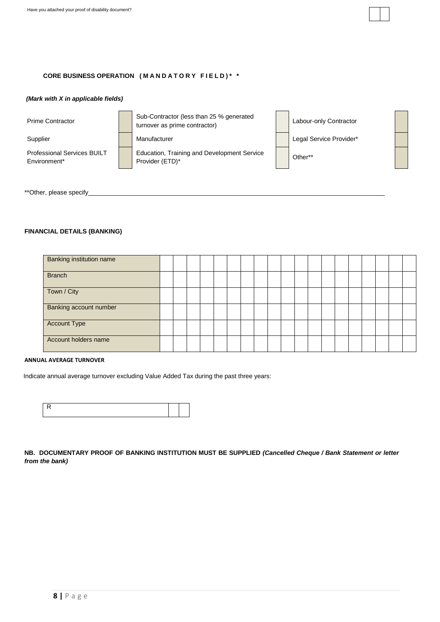

## *(Mark with X in applicable fields)*

Professional Services BUILT Environment\*

Prime Contractor **Sub-Contractor (less than 25 % generated** Sub-Contractor (less than 25 % generated<br>turnover as prime contractor) Labour-only Contractor

Education, Training and Development Service Provider (ETD)\* Provider (ETD)\*

Supplier **Manufacturer** Manufacturer Legal Service Provider\*

\*\*Other, please specify\_

# **FINANCIAL DETAILS (BANKING)**

| <b>Banking institution name</b> |  |  |  |  |  |  |  |  |  |  |
|---------------------------------|--|--|--|--|--|--|--|--|--|--|
| <b>Branch</b>                   |  |  |  |  |  |  |  |  |  |  |
| Town / City                     |  |  |  |  |  |  |  |  |  |  |
| <b>Banking account number</b>   |  |  |  |  |  |  |  |  |  |  |
| <b>Account Type</b>             |  |  |  |  |  |  |  |  |  |  |
| Account holders name            |  |  |  |  |  |  |  |  |  |  |

### **ANNUAL AVERAGE TURNOVER**

Indicate annual average turnover excluding Value Added Tax during the past three years:

**NB. DOCUMENTARY PROOF OF BANKING INSTITUTION MUST BE SUPPLIED** *(Cancelled Cheque / Bank Statement or letter from the bank)*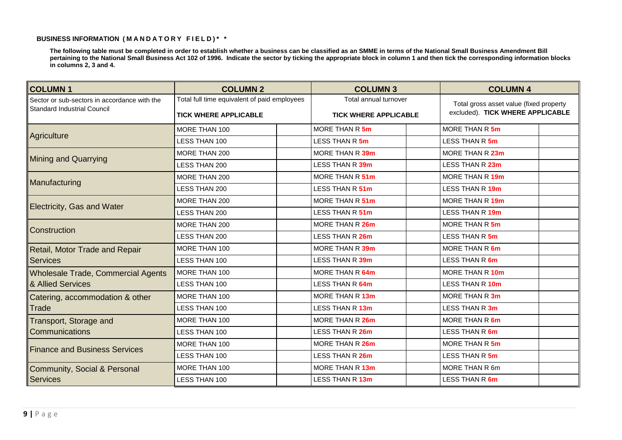# **BUSINESS INFORMATION ( M A N D A T O R Y F I E L D ) \* \***

**The following table must be completed in order to establish whether a business can be classified as an SMME in terms of the National Small Business Amendment Bill pertaining to the National Small Business Act 102 of 1996. Indicate the sector by ticking the appropriate block in column 1 and then tick the corresponding information blocks in columns 2, 3 and 4.** 

| <b>COLUMN1</b>                               | <b>COLUMN 2</b>                              | <b>COLUMN 3</b>              | <b>COLUMN 4</b>                         |
|----------------------------------------------|----------------------------------------------|------------------------------|-----------------------------------------|
| Sector or sub-sectors in accordance with the | Total full time equivalent of paid employees | Total annual turnover        | Total gross asset value (fixed property |
| <b>Standard Industrial Council</b>           | <b>TICK WHERE APPLICABLE</b>                 | <b>TICK WHERE APPLICABLE</b> | excluded). TICK WHERE APPLICABLE        |
|                                              | MORE THAN 100                                | MORE THAN R 5m               | MORE THAN R 5m                          |
| Agriculture                                  | LESS THAN 100                                | LESS THAN R 5m               | LESS THAN R 5m                          |
| <b>Mining and Quarrying</b>                  | MORE THAN 200                                | MORE THAN R 39m              | MORE THAN R 23m                         |
|                                              | LESS THAN 200                                | LESS THAN R 39m              | LESS THAN R 23m                         |
| Manufacturing                                | MORE THAN 200                                | MORE THAN R 51m              | MORE THAN R 19m                         |
|                                              | LESS THAN 200                                | LESS THAN R 51m              | LESS THAN R 19m                         |
|                                              | MORE THAN 200                                | MORE THAN R 51m              | MORE THAN R 19m                         |
| Electricity, Gas and Water                   | LESS THAN 200                                | LESS THAN R 51m              | LESS THAN R 19m                         |
| Construction                                 | MORE THAN 200                                | MORE THAN R 26m              | MORE THAN R 5m                          |
|                                              | <b>LESS THAN 200</b>                         | LESS THAN R 26m              | LESS THAN R 5m                          |
| Retail, Motor Trade and Repair               | MORE THAN 100                                | MORE THAN R 39m              | MORE THAN R 6m                          |
| <b>Services</b>                              | <b>LESS THAN 100</b>                         | LESS THAN R 39m              | LESS THAN R 6m                          |
| <b>Wholesale Trade, Commercial Agents</b>    | MORE THAN 100                                | MORE THAN R 64m              | MORE THAN R 10m                         |
| & Allied Services                            | LESS THAN 100                                | LESS THAN R 64m              | LESS THAN R 10m                         |
| Catering, accommodation & other              | MORE THAN 100                                | MORE THAN R 13m              | MORE THAN R 3m                          |
| Trade                                        | <b>LESS THAN 100</b>                         | LESS THAN R 13m              | LESS THAN R 3m                          |
| Transport, Storage and                       | MORE THAN 100                                | MORE THAN R 26m              | MORE THAN R 6m                          |
| <b>Communications</b>                        | LESS THAN 100                                | LESS THAN R 26m              | LESS THAN R 6m                          |
| <b>Finance and Business Services</b>         | MORE THAN 100                                | MORE THAN R 26m              | MORE THAN R 5m                          |
|                                              | LESS THAN 100                                | LESS THAN R 26m              | LESS THAN R 5m                          |
| <b>Community, Social &amp; Personal</b>      | MORE THAN 100                                | MORE THAN R 13m              | MORE THAN R 6m                          |
| <b>Services</b>                              | LESS THAN 100                                | LESS THAN R 13m              | LESS THAN R 6m                          |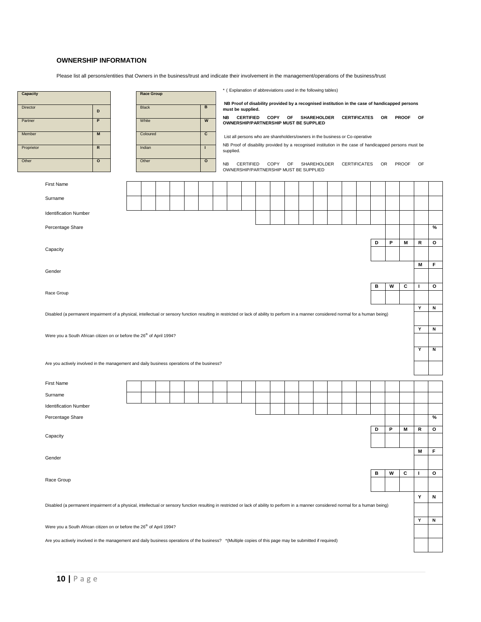## **OWNERSHIP INFORMATION**

Please list all persons/entities that Owners in the business/trust and indicate their involvement in the management/operations of the business/trust

| Capacity   | * ( Explanation of abbreviations used in the following tables)<br><b>Race Group</b><br><b>Black</b><br>В<br>must be supplied.<br>D<br>NB<br><b>CERTIFIED</b><br>COPY OF SHAREHOLDER CERTIFICATES OR PROOF<br>W<br>P<br>White<br>OWNERSHIP/PARTNERSHIP MUST BE SUPPLIED<br>c<br>M<br>Coloured<br>List all persons who are shareholders/owners in the business or Co-operative<br>$\overline{\mathsf{R}}$<br>Indian<br>I.<br>supplied.<br>$\overline{\mathbf{o}}$<br>Other<br>$\overline{\mathbf{c}}$<br>COPY OF<br>SHAREHOLDER CERTIFICATES OR PROOF<br>NB<br>CERTIFIED<br>OWNERSHIP/PARTNERSHIP MUST BE SUPPLIED<br>P<br>D<br>M<br>в<br>W<br>c<br>Are you actively involved in the management and daily business operations of the business? |  |  |  |  |  |  |  |  |  |  |  |  |  |   |         |   |   |   |           |              |
|------------|----------------------------------------------------------------------------------------------------------------------------------------------------------------------------------------------------------------------------------------------------------------------------------------------------------------------------------------------------------------------------------------------------------------------------------------------------------------------------------------------------------------------------------------------------------------------------------------------------------------------------------------------------------------------------------------------------------------------------------------------|--|--|--|--|--|--|--|--|--|--|--|--|--|---|---------|---|---|---|-----------|--------------|
| Director   | NB Proof of disability provided by a recognised institution in the case of handicapped persons<br>NB Proof of disability provided by a recognised institution in the case of handicapped persons must be<br><b>First Name</b><br>Surname<br><b>Identification Number</b><br>Percentage Share<br>Capacity<br>Gender<br>Race Group<br>Disabled (a permanent impairment of a physical, intellectual or sensory function resulting in restricted or lack of ability to perform in a manner considered normal for a human being)                                                                                                                                                                                                                  |  |  |  |  |  |  |  |  |  |  |  |  |  |   |         |   |   |   |           |              |
|            |                                                                                                                                                                                                                                                                                                                                                                                                                                                                                                                                                                                                                                                                                                                                              |  |  |  |  |  |  |  |  |  |  |  |  |  |   |         |   |   |   | <b>OF</b> |              |
| Partner    |                                                                                                                                                                                                                                                                                                                                                                                                                                                                                                                                                                                                                                                                                                                                              |  |  |  |  |  |  |  |  |  |  |  |  |  |   |         |   |   |   |           |              |
| Member     |                                                                                                                                                                                                                                                                                                                                                                                                                                                                                                                                                                                                                                                                                                                                              |  |  |  |  |  |  |  |  |  |  |  |  |  |   |         |   |   |   |           |              |
| Proprietor |                                                                                                                                                                                                                                                                                                                                                                                                                                                                                                                                                                                                                                                                                                                                              |  |  |  |  |  |  |  |  |  |  |  |  |  |   |         |   |   |   |           |              |
| Other      |                                                                                                                                                                                                                                                                                                                                                                                                                                                                                                                                                                                                                                                                                                                                              |  |  |  |  |  |  |  |  |  |  |  |  |  |   |         |   |   |   | OF        |              |
|            |                                                                                                                                                                                                                                                                                                                                                                                                                                                                                                                                                                                                                                                                                                                                              |  |  |  |  |  |  |  |  |  |  |  |  |  |   |         |   |   |   |           |              |
|            |                                                                                                                                                                                                                                                                                                                                                                                                                                                                                                                                                                                                                                                                                                                                              |  |  |  |  |  |  |  |  |  |  |  |  |  |   |         |   |   |   |           |              |
|            |                                                                                                                                                                                                                                                                                                                                                                                                                                                                                                                                                                                                                                                                                                                                              |  |  |  |  |  |  |  |  |  |  |  |  |  |   |         |   |   |   |           |              |
|            |                                                                                                                                                                                                                                                                                                                                                                                                                                                                                                                                                                                                                                                                                                                                              |  |  |  |  |  |  |  |  |  |  |  |  |  |   |         |   |   |   |           |              |
|            |                                                                                                                                                                                                                                                                                                                                                                                                                                                                                                                                                                                                                                                                                                                                              |  |  |  |  |  |  |  |  |  |  |  |  |  |   |         |   |   |   |           |              |
|            |                                                                                                                                                                                                                                                                                                                                                                                                                                                                                                                                                                                                                                                                                                                                              |  |  |  |  |  |  |  |  |  |  |  |  |  |   |         |   |   |   |           | %            |
|            |                                                                                                                                                                                                                                                                                                                                                                                                                                                                                                                                                                                                                                                                                                                                              |  |  |  |  |  |  |  |  |  |  |  |  |  |   |         |   |   |   | R         | o            |
|            | M<br>т                                                                                                                                                                                                                                                                                                                                                                                                                                                                                                                                                                                                                                                                                                                                       |  |  |  |  |  |  |  |  |  |  |  |  |  |   |         |   |   |   |           |              |
|            |                                                                                                                                                                                                                                                                                                                                                                                                                                                                                                                                                                                                                                                                                                                                              |  |  |  |  |  |  |  |  |  |  |  |  |  |   | F       |   |   |   |           |              |
|            |                                                                                                                                                                                                                                                                                                                                                                                                                                                                                                                                                                                                                                                                                                                                              |  |  |  |  |  |  |  |  |  |  |  |  |  |   |         |   |   |   |           |              |
|            |                                                                                                                                                                                                                                                                                                                                                                                                                                                                                                                                                                                                                                                                                                                                              |  |  |  |  |  |  |  |  |  |  |  |  |  |   | $\circ$ |   |   |   |           |              |
|            | Υ                                                                                                                                                                                                                                                                                                                                                                                                                                                                                                                                                                                                                                                                                                                                            |  |  |  |  |  |  |  |  |  |  |  |  |  |   |         |   |   |   |           |              |
|            | Y                                                                                                                                                                                                                                                                                                                                                                                                                                                                                                                                                                                                                                                                                                                                            |  |  |  |  |  |  |  |  |  |  |  |  |  | N |         |   |   |   |           |              |
|            | Were you a South African citizen on or before the 26 <sup>th</sup> of April 1994?                                                                                                                                                                                                                                                                                                                                                                                                                                                                                                                                                                                                                                                            |  |  |  |  |  |  |  |  |  |  |  |  |  |   |         |   |   |   |           |              |
|            |                                                                                                                                                                                                                                                                                                                                                                                                                                                                                                                                                                                                                                                                                                                                              |  |  |  |  |  |  |  |  |  |  |  |  |  | N |         |   |   |   |           |              |
|            |                                                                                                                                                                                                                                                                                                                                                                                                                                                                                                                                                                                                                                                                                                                                              |  |  |  |  |  |  |  |  |  |  |  |  |  |   |         |   |   |   | Y         | N            |
|            |                                                                                                                                                                                                                                                                                                                                                                                                                                                                                                                                                                                                                                                                                                                                              |  |  |  |  |  |  |  |  |  |  |  |  |  |   |         |   |   |   |           |              |
|            |                                                                                                                                                                                                                                                                                                                                                                                                                                                                                                                                                                                                                                                                                                                                              |  |  |  |  |  |  |  |  |  |  |  |  |  |   |         |   |   |   |           |              |
|            | <b>First Name</b>                                                                                                                                                                                                                                                                                                                                                                                                                                                                                                                                                                                                                                                                                                                            |  |  |  |  |  |  |  |  |  |  |  |  |  |   |         |   |   |   |           |              |
|            | Surname                                                                                                                                                                                                                                                                                                                                                                                                                                                                                                                                                                                                                                                                                                                                      |  |  |  |  |  |  |  |  |  |  |  |  |  |   |         |   |   |   |           |              |
|            | <b>Identification Number</b>                                                                                                                                                                                                                                                                                                                                                                                                                                                                                                                                                                                                                                                                                                                 |  |  |  |  |  |  |  |  |  |  |  |  |  |   |         |   |   |   |           |              |
|            | Percentage Share                                                                                                                                                                                                                                                                                                                                                                                                                                                                                                                                                                                                                                                                                                                             |  |  |  |  |  |  |  |  |  |  |  |  |  |   |         |   |   |   |           | %            |
|            |                                                                                                                                                                                                                                                                                                                                                                                                                                                                                                                                                                                                                                                                                                                                              |  |  |  |  |  |  |  |  |  |  |  |  |  |   |         | D | P | M | R         | $\mathbf{o}$ |
|            | Capacity                                                                                                                                                                                                                                                                                                                                                                                                                                                                                                                                                                                                                                                                                                                                     |  |  |  |  |  |  |  |  |  |  |  |  |  |   |         |   |   |   |           |              |
|            |                                                                                                                                                                                                                                                                                                                                                                                                                                                                                                                                                                                                                                                                                                                                              |  |  |  |  |  |  |  |  |  |  |  |  |  |   |         |   |   |   | M         | F            |
|            | Gender                                                                                                                                                                                                                                                                                                                                                                                                                                                                                                                                                                                                                                                                                                                                       |  |  |  |  |  |  |  |  |  |  |  |  |  |   |         |   |   |   |           |              |
|            |                                                                                                                                                                                                                                                                                                                                                                                                                                                                                                                                                                                                                                                                                                                                              |  |  |  |  |  |  |  |  |  |  |  |  |  |   |         | в | W | c | J.        | o            |
|            | Race Group                                                                                                                                                                                                                                                                                                                                                                                                                                                                                                                                                                                                                                                                                                                                   |  |  |  |  |  |  |  |  |  |  |  |  |  |   |         |   |   |   |           |              |
|            |                                                                                                                                                                                                                                                                                                                                                                                                                                                                                                                                                                                                                                                                                                                                              |  |  |  |  |  |  |  |  |  |  |  |  |  |   |         |   |   |   | Υ         | N            |
|            | Disabled (a permanent impairment of a physical, intellectual or sensory function resulting in restricted or lack of ability to perform in a manner considered normal for a human being)                                                                                                                                                                                                                                                                                                                                                                                                                                                                                                                                                      |  |  |  |  |  |  |  |  |  |  |  |  |  |   |         |   |   |   |           |              |
|            |                                                                                                                                                                                                                                                                                                                                                                                                                                                                                                                                                                                                                                                                                                                                              |  |  |  |  |  |  |  |  |  |  |  |  |  |   |         |   |   |   | Υ         | Ν            |
|            | Were you a South African citizen on or before the 26 <sup>th</sup> of April 1994?                                                                                                                                                                                                                                                                                                                                                                                                                                                                                                                                                                                                                                                            |  |  |  |  |  |  |  |  |  |  |  |  |  |   |         |   |   |   |           |              |
|            | Are you actively involved in the management and daily business operations of the business? *(Multiple copies of this page may be submitted if required)                                                                                                                                                                                                                                                                                                                                                                                                                                                                                                                                                                                      |  |  |  |  |  |  |  |  |  |  |  |  |  |   |         |   |   |   |           |              |
|            |                                                                                                                                                                                                                                                                                                                                                                                                                                                                                                                                                                                                                                                                                                                                              |  |  |  |  |  |  |  |  |  |  |  |  |  |   |         |   |   |   |           |              |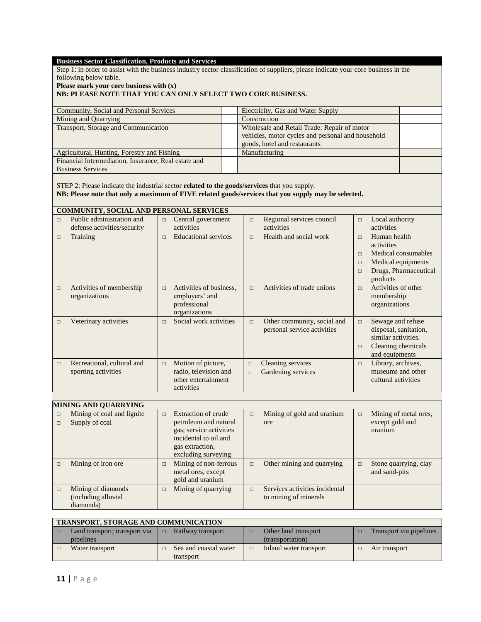### **Business Sector Classification, Products and Services**

Step 1: in order to assist with the business industry sector classification of suppliers, please indicate your core business in the following below table.

**Please mark your core business with (x)**

## **NB: PLEASE NOTE THAT YOU CAN ONLY SELECT TWO CORE BUSINESS.**

| Electricity, Gas and Water Supply                 |  |
|---------------------------------------------------|--|
| Construction                                      |  |
| Wholesale and Retail Trade: Repair of motor       |  |
| vehicles, motor cycles and personal and household |  |
| goods, hotel and restaurants                      |  |
| Manufacturing                                     |  |
|                                                   |  |
|                                                   |  |
|                                                   |  |

STEP 2: Please indicate the industrial sector **related to the goods/services** that you supply. **NB: Please note that only a maximum of FIVE related goods/services that you supply may be selected.**

# **COMMUNITY, SOCIAL AND PERSONAL SERVICES**

| $\Box$ | Public administration and<br>defense activities/security | Central government<br>$\Box$<br>activities                                                 | $\Box$           | Regional services council<br>activities                    | $\Box$                               | Local authority<br>activities                                                                                |
|--------|----------------------------------------------------------|--------------------------------------------------------------------------------------------|------------------|------------------------------------------------------------|--------------------------------------|--------------------------------------------------------------------------------------------------------------|
| $\Box$ | Training                                                 | <b>Educational services</b><br>$\Box$                                                      | $\Box$           | Health and social work                                     | $\Box$<br>$\Box$<br>$\Box$<br>$\Box$ | Human health<br>activities<br>Medical consumables<br>Medical equipments<br>Drugs, Pharmaceutical<br>products |
| $\Box$ | Activities of membership<br>organizations                | Activities of business,<br>$\Box$<br>employers' and<br>professional<br>organizations       | $\Box$           | Activities of trade unions                                 | $\Box$                               | Activities of other<br>membership<br>organizations                                                           |
| $\Box$ | Veterinary activities                                    | Social work activities<br>$\Box$                                                           | $\Box$           | Other community, social and<br>personal service activities | $\Box$<br>$\Box$                     | Sewage and refuse<br>disposal, sanitation,<br>similar activities.<br>Cleaning chemicals<br>and equipments    |
| $\Box$ | Recreational, cultural and<br>sporting activities        | Motion of picture,<br>$\Box$<br>radio, television and<br>other entertainment<br>activities | $\Box$<br>$\Box$ | Cleaning services<br>Gardening services                    | $\Box$                               | Library, archives,<br>museums and other<br>cultural activities                                               |

|        | <b>MINING AND QUARRYING</b>                            |        |                                                                                                                                                   |        |                                                         |        |                                                     |  |  |  |  |  |
|--------|--------------------------------------------------------|--------|---------------------------------------------------------------------------------------------------------------------------------------------------|--------|---------------------------------------------------------|--------|-----------------------------------------------------|--|--|--|--|--|
| $\Box$ | Mining of coal and lignite<br>Supply of coal           | $\Box$ | <b>Extraction of crude</b><br>petroleum and natural<br>gas; service activities<br>incidental to oil and<br>gas extraction,<br>excluding surveying | $\Box$ | Mining of gold and uranium<br><b>ore</b>                | $\Box$ | Mining of metal ores,<br>except gold and<br>uranium |  |  |  |  |  |
|        | Mining of iron ore                                     | $\Box$ | Mining of non-ferrous<br>metal ores, except<br>gold and uranium                                                                                   | $\Box$ | Other mining and quarrying                              | $\Box$ | Stone quarrying, clay<br>and sand-pits              |  |  |  |  |  |
| $\Box$ | Mining of diamonds<br>(including alluvial<br>diamonds) | $\Box$ | Mining of quarrying                                                                                                                               | $\Box$ | Services activities incidental<br>to mining of minerals |        |                                                     |  |  |  |  |  |

| <b>TRANSPORT, STORAGE AND COMMUNICATION</b> |  |                       |  |                        |  |                         |  |  |  |  |
|---------------------------------------------|--|-----------------------|--|------------------------|--|-------------------------|--|--|--|--|
| Land transport; transport via               |  | Railway transport     |  | Other land transport   |  | Transport via pipelines |  |  |  |  |
| pipelines                                   |  |                       |  | (transportation)       |  |                         |  |  |  |  |
| Water transport                             |  | Sea and coastal water |  | Inland water transport |  | Air transport           |  |  |  |  |
|                                             |  | transport             |  |                        |  |                         |  |  |  |  |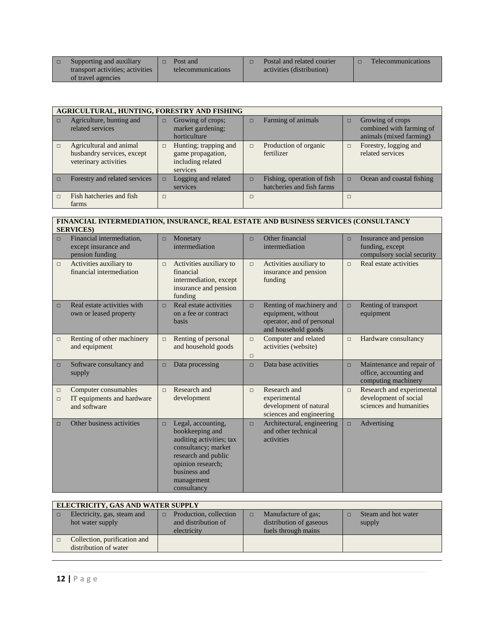| Supporting and auxiliary         | $\Box$ | Post and           | Postal and related courier | <b>Telecommunications</b> |
|----------------------------------|--------|--------------------|----------------------------|---------------------------|
| transport activities; activities |        | telecommunications | activities (distribution)  |                           |
| of travel agencies               |        |                    |                            |                           |

|        | AGRICULTURAL, HUNTING, FORESTRY AND FISHING                                    |        |                                                                             |        |                                                         |        |                                                                         |  |  |  |  |
|--------|--------------------------------------------------------------------------------|--------|-----------------------------------------------------------------------------|--------|---------------------------------------------------------|--------|-------------------------------------------------------------------------|--|--|--|--|
|        |                                                                                |        |                                                                             |        |                                                         |        |                                                                         |  |  |  |  |
| $\Box$ | Agriculture, hunting and<br>related services                                   | $\Box$ | Growing of crops;<br>market gardening;<br>horticulture                      | $\Box$ | Farming of animals                                      | $\Box$ | Growing of crops<br>combined with farming of<br>animals (mixed farming) |  |  |  |  |
|        | Agricultural and animal<br>husbandry services, except<br>veterinary activities | $\Box$ | Hunting; trapping and<br>game propagation,<br>including related<br>services | $\Box$ | Production of organic<br>fertilizer                     | $\Box$ | Forestry, logging and<br>related services                               |  |  |  |  |
|        | Forestry and related services                                                  | $\Box$ | Logging and related<br>services                                             | $\Box$ | Fishing, operation of fish<br>hatcheries and fish farms | $\Box$ | Ocean and coastal fishing                                               |  |  |  |  |
|        | Fish hatcheries and fish<br>farms                                              | $\Box$ |                                                                             | $\Box$ |                                                         |        |                                                                         |  |  |  |  |

### **FINANCIAL INTERMEDIATION, INSURANCE, REAL ESTATE AND BUSINESS SERVICES (CONSULTANCY SERVICES)**

| $\Box$           | Financial intermediation,<br>except insurance and<br>pension funding | $\Box$ | Monetary<br>intermediation                                                                                                                                                        | $\Box$           | Other financial<br>intermediation                                                                  | $\Box$ | Insurance and pension<br>funding, except<br>compulsory social security        |
|------------------|----------------------------------------------------------------------|--------|-----------------------------------------------------------------------------------------------------------------------------------------------------------------------------------|------------------|----------------------------------------------------------------------------------------------------|--------|-------------------------------------------------------------------------------|
| $\Box$           | Activities auxiliary to<br>financial intermediation                  | $\Box$ | Activities auxiliary to<br>financial<br>intermediation, except<br>insurance and pension<br>funding                                                                                | $\Box$           | Activities auxiliary to<br>insurance and pension<br>funding                                        | $\Box$ | Real estate activities                                                        |
| $\Box$           | Real estate activities with<br>own or leased property                | $\Box$ | Real estate activities<br>on a fee or contract<br>basis                                                                                                                           | $\Box$           | Renting of machinery and<br>equipment, without<br>operator, and of personal<br>and household goods | $\Box$ | Renting of transport<br>equipment                                             |
| $\Box$           | Renting of other machinery<br>and equipment                          | $\Box$ | Renting of personal<br>and household goods                                                                                                                                        | $\Box$<br>$\Box$ | Computer and related<br>activities (website)                                                       | $\Box$ | Hardware consultancy                                                          |
| $\Box$           | Software consultancy and<br>supply                                   | $\Box$ | Data processing                                                                                                                                                                   | $\Box$           | Data base activities                                                                               | $\Box$ | Maintenance and repair of<br>office, accounting and<br>computing machinery    |
| $\Box$<br>$\Box$ | Computer consumables<br>IT equipments and hardware<br>and software   | $\Box$ | Research and<br>development                                                                                                                                                       | $\Box$           | Research and<br>experimental<br>development of natural<br>sciences and engineering                 | $\Box$ | Research and experimental<br>development of social<br>sciences and humanities |
| $\Box$           | Other business activities                                            | $\Box$ | Legal, accounting,<br>bookkeeping and<br>auditing activities; tax<br>consultancy; market<br>research and public<br>opinion research;<br>business and<br>management<br>consultancy | $\Box$           | Architectural, engineering<br>and other technical<br>activities                                    | $\Box$ | Advertising                                                                   |

|        | ELECTRICITY, GAS AND WATER SUPPLY                     |                                                              |                                                                                 |  |                               |  |  |  |  |  |  |  |
|--------|-------------------------------------------------------|--------------------------------------------------------------|---------------------------------------------------------------------------------|--|-------------------------------|--|--|--|--|--|--|--|
| $\Box$ | Electricity, gas, steam and<br>hot water supply       | Production, collection<br>and distribution of<br>electricity | Manufacture of gas;<br>$\Box$<br>distribution of gaseous<br>fuels through mains |  | Steam and hot water<br>supply |  |  |  |  |  |  |  |
|        | Collection, purification and<br>distribution of water |                                                              |                                                                                 |  |                               |  |  |  |  |  |  |  |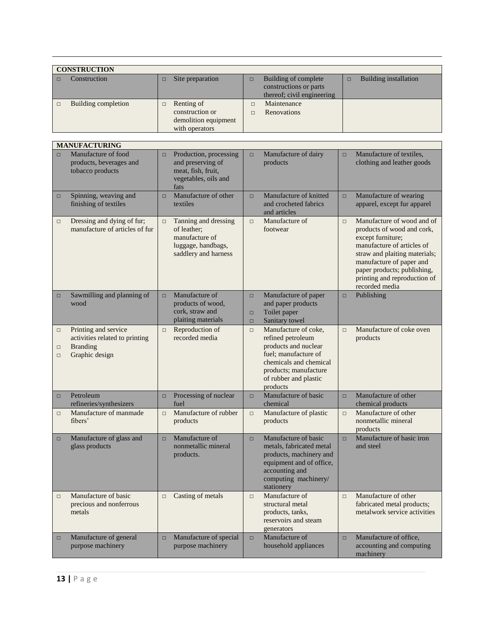| <b>CONSTRUCTION</b> |        |                      |        |                            |   |                       |  |  |  |
|---------------------|--------|----------------------|--------|----------------------------|---|-----------------------|--|--|--|
| Construction        | $\Box$ | Site preparation     | $\Box$ | Building of complete       | п | Building installation |  |  |  |
|                     |        |                      |        | constructions or parts     |   |                       |  |  |  |
|                     |        |                      |        | thereof; civil engineering |   |                       |  |  |  |
| Building completion | $\Box$ | Renting of           |        | Maintenance                |   |                       |  |  |  |
|                     |        | construction or      |        | Renovations                |   |                       |  |  |  |
|                     |        | demolition equipment |        |                            |   |                       |  |  |  |
|                     |        | with operators       |        |                            |   |                       |  |  |  |

|                            | <b>MANUFACTURING</b>                                                                        |        |                                                                                                     |                            |                                                                                                                                                                                   |        |                                                                                                                                                                                                                                                           |
|----------------------------|---------------------------------------------------------------------------------------------|--------|-----------------------------------------------------------------------------------------------------|----------------------------|-----------------------------------------------------------------------------------------------------------------------------------------------------------------------------------|--------|-----------------------------------------------------------------------------------------------------------------------------------------------------------------------------------------------------------------------------------------------------------|
| $\Box$                     | Manufacture of food<br>products, beverages and<br>tobacco products                          | $\Box$ | Production, processing<br>and preserving of<br>meat, fish, fruit,<br>vegetables, oils and<br>fats   | $\Box$                     | Manufacture of dairy<br>products                                                                                                                                                  | $\Box$ | Manufacture of textiles,<br>clothing and leather goods                                                                                                                                                                                                    |
| $\Box$                     | Spinning, weaving and<br>finishing of textiles                                              | $\Box$ | Manufacture of other<br>textiles                                                                    | $\Box$                     | Manufacture of knitted<br>and crocheted fabrics<br>and articles                                                                                                                   | $\Box$ | Manufacture of wearing<br>apparel, except fur apparel                                                                                                                                                                                                     |
| $\Box$                     | Dressing and dying of fur;<br>manufacture of articles of fur                                | $\Box$ | Tanning and dressing<br>of leather;<br>manufacture of<br>luggage, handbags,<br>saddlery and harness | $\Box$                     | Manufacture of<br>footwear                                                                                                                                                        | $\Box$ | Manufacture of wood and of<br>products of wood and cork,<br>except furniture;<br>manufacture of articles of<br>straw and plaiting materials;<br>manufacture of paper and<br>paper products; publishing,<br>printing and reproduction of<br>recorded media |
| $\Box$                     | Sawmilling and planning of<br>wood                                                          | $\Box$ | Manufacture of<br>products of wood,<br>cork, straw and<br>plaiting materials                        | $\Box$<br>$\Box$<br>$\Box$ | Manufacture of paper<br>and paper products<br>Toilet paper<br>Sanitary towel                                                                                                      | $\Box$ | Publishing                                                                                                                                                                                                                                                |
| $\Box$<br>$\Box$<br>$\Box$ | Printing and service<br>activities related to printing<br><b>Branding</b><br>Graphic design | $\Box$ | Reproduction of<br>recorded media                                                                   | $\Box$                     | Manufacture of coke,<br>refined petroleum<br>products and nuclear<br>fuel; manufacture of<br>chemicals and chemical<br>products; manufacture<br>of rubber and plastic<br>products | $\Box$ | Manufacture of coke oven<br>products                                                                                                                                                                                                                      |
| $\Box$                     | Petroleum<br>refineries/synthesizers                                                        | $\Box$ | Processing of nuclear<br>fuel                                                                       | $\Box$                     | Manufacture of basic<br>chemical                                                                                                                                                  | $\Box$ | Manufacture of other<br>chemical products                                                                                                                                                                                                                 |
| $\Box$                     | Manufacture of manmade<br>fibers'                                                           | $\Box$ | Manufacture of rubber<br>products                                                                   | $\Box$                     | Manufacture of plastic<br>products                                                                                                                                                | $\Box$ | Manufacture of other<br>nonmetallic mineral<br>products                                                                                                                                                                                                   |
| $\Box$                     | Manufacture of glass and<br>glass products                                                  | $\Box$ | Manufacture of<br>nonmetallic mineral<br>products.                                                  | $\Box$                     | Manufacture of basic<br>metals, fabricated metal<br>products, machinery and<br>equipment and of office,<br>accounting and<br>computing machinery/<br>stationery                   | $\Box$ | Manufacture of basic iron<br>and steel                                                                                                                                                                                                                    |
| $\Box$                     | Manufacture of basic<br>precious and nonferrous<br>metals                                   | □      | Casting of metals                                                                                   | $\Box$                     | Manufacture of<br>structural metal<br>products, tanks,<br>reservoirs and steam<br>generators                                                                                      | $\Box$ | Manufacture of other<br>fabricated metal products;<br>metalwork service activities                                                                                                                                                                        |
| $\Box$                     | Manufacture of general<br>purpose machinery                                                 | $\Box$ | Manufacture of special<br>purpose machinery                                                         | $\Box$                     | Manufacture of<br>household appliances                                                                                                                                            | $\Box$ | Manufacture of office,<br>accounting and computing<br>machinery                                                                                                                                                                                           |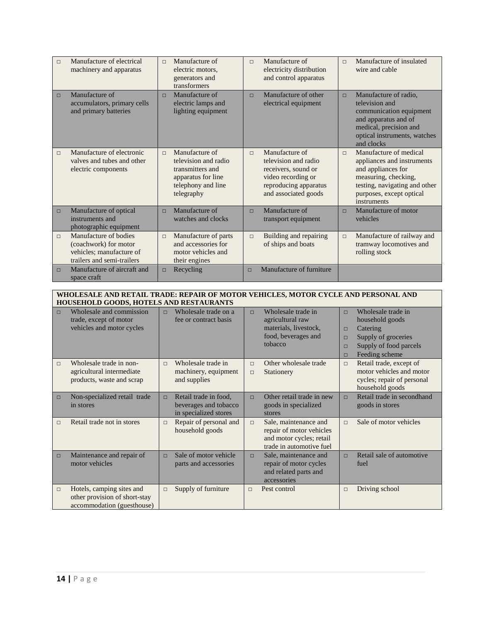| $\Box$ | Manufacture of electrical<br>machinery and apparatus                                                     | $\Box$ | Manufacture of<br>electric motors,<br>generators and<br>transformers                                                 | $\Box$ | Manufacture of<br>electricity distribution<br>and control apparatus                                                                  | $\Box$ | Manufacture of insulated<br>wire and cable                                                                                                                                     |
|--------|----------------------------------------------------------------------------------------------------------|--------|----------------------------------------------------------------------------------------------------------------------|--------|--------------------------------------------------------------------------------------------------------------------------------------|--------|--------------------------------------------------------------------------------------------------------------------------------------------------------------------------------|
| $\Box$ | Manufacture of<br>accumulators, primary cells<br>and primary batteries                                   | $\Box$ | Manufacture of<br>electric lamps and<br>lighting equipment                                                           | $\Box$ | Manufacture of other<br>electrical equipment                                                                                         | $\Box$ | Manufacture of radio,<br>television and<br>communication equipment<br>and apparatus and of<br>medical, precision and<br>optical instruments, watches<br>and clocks             |
| $\Box$ | Manufacture of electronic<br>valves and tubes and other<br>electric components                           | $\Box$ | Manufacture of<br>television and radio<br>transmitters and<br>apparatus for line<br>telephony and line<br>telegraphy | $\Box$ | Manufacture of<br>television and radio<br>receivers, sound or<br>video recording or<br>reproducing apparatus<br>and associated goods | $\Box$ | Manufacture of medical<br>appliances and instruments<br>and appliances for<br>measuring, checking,<br>testing, navigating and other<br>purposes, except optical<br>instruments |
| $\Box$ | Manufacture of optical<br>instruments and<br>photographic equipment                                      | $\Box$ | Manufacture of<br>watches and clocks                                                                                 | $\Box$ | Manufacture of<br>transport equipment                                                                                                | $\Box$ | Manufacture of motor<br>vehicles                                                                                                                                               |
| $\Box$ | Manufacture of bodies<br>(coachwork) for motor<br>vehicles; manufacture of<br>trailers and semi-trailers | $\Box$ | Manufacture of parts<br>and accessories for<br>motor vehicles and<br>their engines                                   | $\Box$ | Building and repairing<br>of ships and boats                                                                                         | $\Box$ | Manufacture of railway and<br>tramway locomotives and<br>rolling stock                                                                                                         |
| П      | Manufacture of aircraft and<br>space craft                                                               | $\Box$ | Recycling                                                                                                            | $\Box$ | Manufacture of furniture                                                                                                             |        |                                                                                                                                                                                |

### **WHOLESALE AND RETAIL TRADE: REPAIR OF MOTOR VEHICLES, MOTOR CYCLE AND PERSONAL AND HOUSEHOLD GOODS, HOTELS AND RESTAURANTS**

| $\Box$ | Wholesale and commission<br>trade, except of motor<br>vehicles and motor cycles          | $\Box$ | Wholesale trade on a<br>fee or contract basis                           | $\Box$           | Wholesale trade in<br>agricultural raw<br>materials, livestock,<br>food, beverages and<br>tobacco         | $\Box$<br>$\Box$<br>$\Box$<br>$\Box$<br>$\Box$ | Wholesale trade in<br>household goods<br>Catering<br>Supply of groceries<br>Supply of food parcels<br>Feeding scheme |
|--------|------------------------------------------------------------------------------------------|--------|-------------------------------------------------------------------------|------------------|-----------------------------------------------------------------------------------------------------------|------------------------------------------------|----------------------------------------------------------------------------------------------------------------------|
| $\Box$ | Wholesale trade in non-<br>agricultural intermediate<br>products, waste and scrap        | $\Box$ | Wholesale trade in<br>machinery, equipment<br>and supplies              | $\Box$<br>$\Box$ | Other wholesale trade<br>Stationery                                                                       | $\Box$                                         | Retail trade, except of<br>motor vehicles and motor<br>cycles; repair of personal<br>household goods                 |
| $\Box$ | Non-specialized retail trade<br>in stores                                                | $\Box$ | Retail trade in food,<br>beverages and tobacco<br>in specialized stores | $\Box$           | Other retail trade in new<br>goods in specialized<br>stores                                               | $\Box$                                         | Retail trade in secondhand<br>goods in stores                                                                        |
| $\Box$ | Retail trade not in stores                                                               | $\Box$ | Repair of personal and<br>household goods                               | $\Box$           | Sale, maintenance and<br>repair of motor vehicles<br>and motor cycles; retail<br>trade in automotive fuel | $\Box$                                         | Sale of motor vehicles                                                                                               |
| $\Box$ | Maintenance and repair of<br>motor vehicles                                              | $\Box$ | Sale of motor vehicle<br>parts and accessories                          | $\Box$           | Sale, maintenance and<br>repair of motor cycles<br>and related parts and<br>accessories                   | $\Box$                                         | Retail sale of automotive<br>fuel                                                                                    |
| $\Box$ | Hotels, camping sites and<br>other provision of short-stay<br>accommodation (guesthouse) | $\Box$ | Supply of furniture                                                     | $\Box$           | Pest control                                                                                              | $\Box$                                         | Driving school                                                                                                       |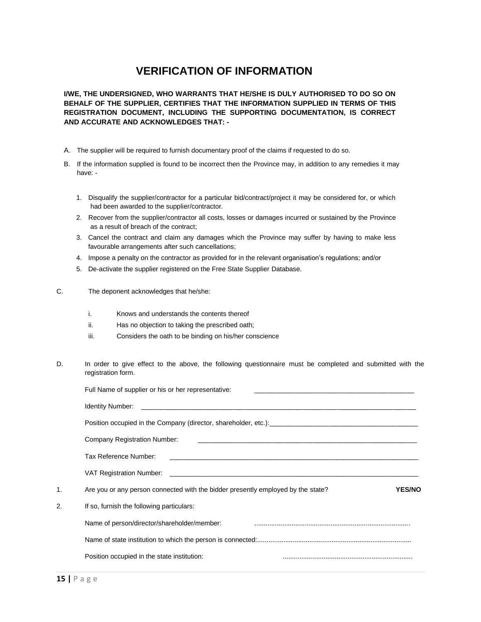# **VERIFICATION OF INFORMATION**

**I/WE, THE UNDERSIGNED, WHO WARRANTS THAT HE/SHE IS DULY AUTHORISED TO DO SO ON BEHALF OF THE SUPPLIER, CERTIFIES THAT THE INFORMATION SUPPLIED IN TERMS OF THIS REGISTRATION DOCUMENT, INCLUDING THE SUPPORTING DOCUMENTATION, IS CORRECT AND ACCURATE AND ACKNOWLEDGES THAT: -**

- A. The supplier will be required to furnish documentary proof of the claims if requested to do so.
- B. If the information supplied is found to be incorrect then the Province may, in addition to any remedies it may have: -
	- 1. Disqualify the supplier/contractor for a particular bid/contract/project it may be considered for, or which had been awarded to the supplier/contractor.
	- 2. Recover from the supplier/contractor all costs, losses or damages incurred or sustained by the Province as a result of breach of the contract;
	- 3. Cancel the contract and claim any damages which the Province may suffer by having to make less favourable arrangements after such cancellations;
	- 4. Impose a penalty on the contractor as provided for in the relevant organisation's regulations; and/or
	- 5. De-activate the supplier registered on the Free State Supplier Database.
- C. The deponent acknowledges that he/she:
	- i. Knows and understands the contents thereof
	- ii. Has no objection to taking the prescribed oath;
	- iii. Considers the oath to be binding on his/her conscience
- D. In order to give effect to the above, the following questionnaire must be completed and submitted with the registration form.

|    | Full Name of supplier or his or her representative:                                                                                                   |
|----|-------------------------------------------------------------------------------------------------------------------------------------------------------|
|    |                                                                                                                                                       |
|    | Position occupied in the Company (director, shareholder, etc.): [[11] Decree Production occupied in the Company (director, shareholder, etc.):        |
|    | Company Registration Number:<br><u> 1980 - Johann Stoff, deutscher Stoff, der Stoff, der Stoff, der Stoff, der Stoff, der Stoff, der Stoff, der S</u> |
|    | Tax Reference Number:<br><u> 1980 - Jan Alexandri, martin amerikan basar dan berasal dalam berasal dalam berasal dalam berasal dalam berasa</u>       |
|    |                                                                                                                                                       |
| 1. | Are you or any person connected with the bidder presently employed by the state?<br><b>YES/NO</b>                                                     |
| 2. | If so, furnish the following particulars:                                                                                                             |
|    | Name of person/director/shareholder/member:                                                                                                           |
|    |                                                                                                                                                       |
|    | Position occupied in the state institution:                                                                                                           |
|    |                                                                                                                                                       |